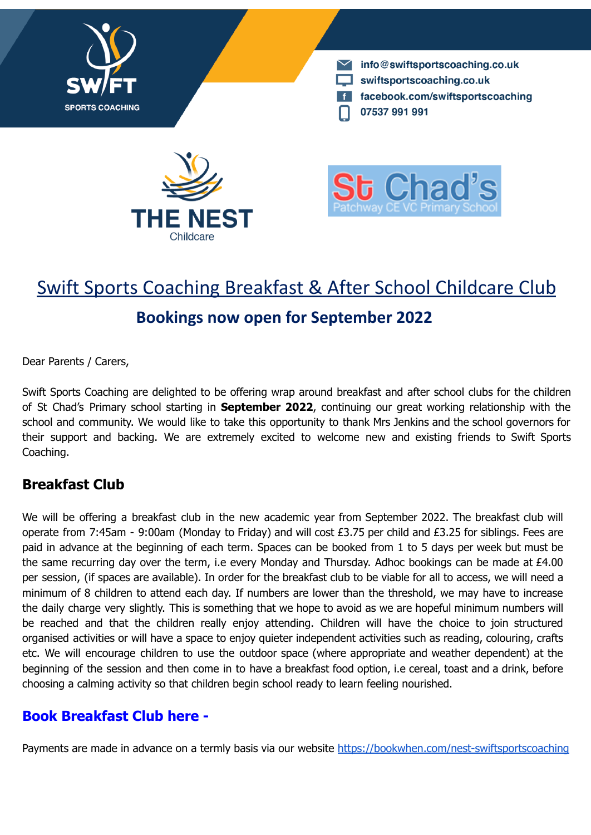

info@swiftsportscoaching.co.uk swiftsportscoaching.co.uk facebook.com/swiftsportscoaching 07537 991 991





# Swift Sports Coaching Breakfast & After School Childcare Club

## **Bookings now open for September 2022**

Dear Parents / Carers,

Swift Sports Coaching are delighted to be offering wrap around breakfast and after school clubs for the children of St Chad's Primary school starting in **September 2022**, continuing our great working relationship with the school and community. We would like to take this opportunity to thank Mrs Jenkins and the school governors for their support and backing. We are extremely excited to welcome new and existing friends to Swift Sports Coaching.

## **Breakfast Club**

We will be offering a breakfast club in the new academic year from September 2022. The breakfast club will operate from 7:45am - 9:00am (Monday to Friday) and will cost £3.75 per child and £3.25 for siblings. Fees are paid in advance at the beginning of each term. Spaces can be booked from 1 to 5 days per week but must be the same recurring day over the term, i.e every Monday and Thursday. Adhoc bookings can be made at £4.00 per session, (if spaces are available). In order for the breakfast club to be viable for all to access, we will need a minimum of 8 children to attend each day. If numbers are lower than the threshold, we may have to increase the daily charge very slightly. This is something that we hope to avoid as we are hopeful minimum numbers will be reached and that the children really enjoy attending. Children will have the choice to join structured organised activities or will have a space to enjoy quieter independent activities such as reading, colouring, crafts etc. We will encourage children to use the outdoor space (where appropriate and weather dependent) at the beginning of the session and then come in to have a breakfast food option, i.e cereal, toast and a drink, before choosing a calming activity so that children begin school ready to learn feeling nourished.

## **Book Breakfast Club here -**

Payments are made in advance on a termly basis via our website <https://bookwhen.com/nest-swiftsportscoaching>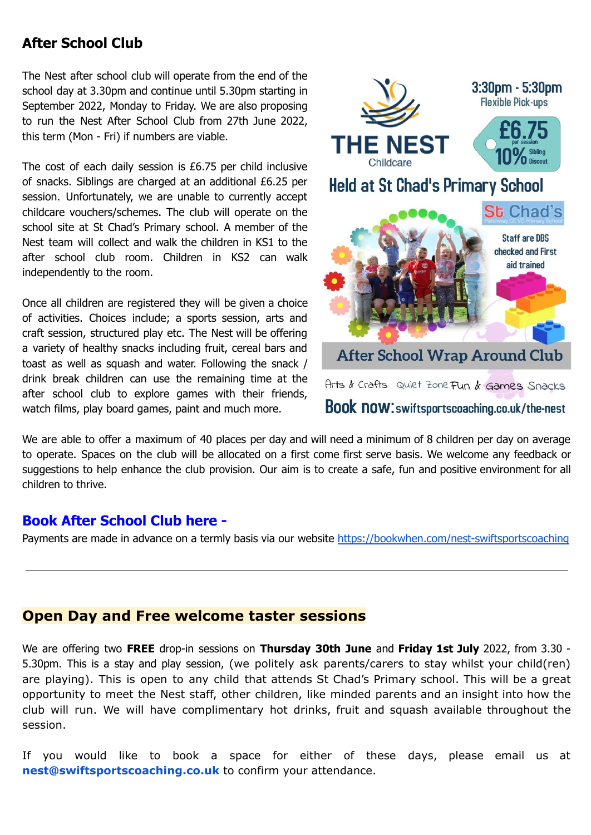### **After School Club**

The Nest after school club will operate from the end of the school day at 3.30pm and continue until 5.30pm starting in September 2022, Monday to Friday. We are also proposing to run the Nest After School Club from 27th June 2022, this term (Mon - Fri) if numbers are viable.

The cost of each daily session is £6.75 per child inclusive of snacks. Siblings are charged at an additional £6.25 per session. Unfortunately, we are unable to currently accept childcare vouchers/schemes. The club will operate on the school site at St Chad's Primary school. A member of the Nest team will collect and walk the children in KS1 to the after school club room. Children in KS2 can walk independently to the room.

Once all children are registered they will be given a choice of activities. Choices include; a sports session, arts and craft session, structured play etc. The Nest will be offering a variety of healthy snacks including fruit, cereal bars and toast as well as squash and water. Following the snack / drink break children can use the remaining time at the after school club to explore games with their friends, watch films, play board games, paint and much more.



We are able to offer a maximum of 40 places per day and will need a minimum of 8 children per day on average to operate. Spaces on the club will be allocated on a first come first serve basis. We welcome any feedback or suggestions to help enhance the club provision. Our aim is to create a safe, fun and positive environment for all children to thrive.

#### **Book After School Club here -**

Payments are made in advance on a termly basis via our website <https://bookwhen.com/nest-swiftsportscoaching>

#### **Open Day and Free welcome taster sessions**

We are offering two **FREE** drop-in sessions on **Thursday 30th June** and **Friday 1st July** 2022, from 3.30 - 5.30pm. This is a stay and play session, (we politely ask parents/carers to stay whilst your child(ren) are playing). This is open to any child that attends St Chad's Primary school. This will be a great opportunity to meet the Nest staff, other children, like minded parents and an insight into how the club will run. We will have complimentary hot drinks, fruit and squash available throughout the session.

If you would like to book a space for either of these days, please email us at **nest@swiftsportscoaching.co.uk** to confirm your attendance.